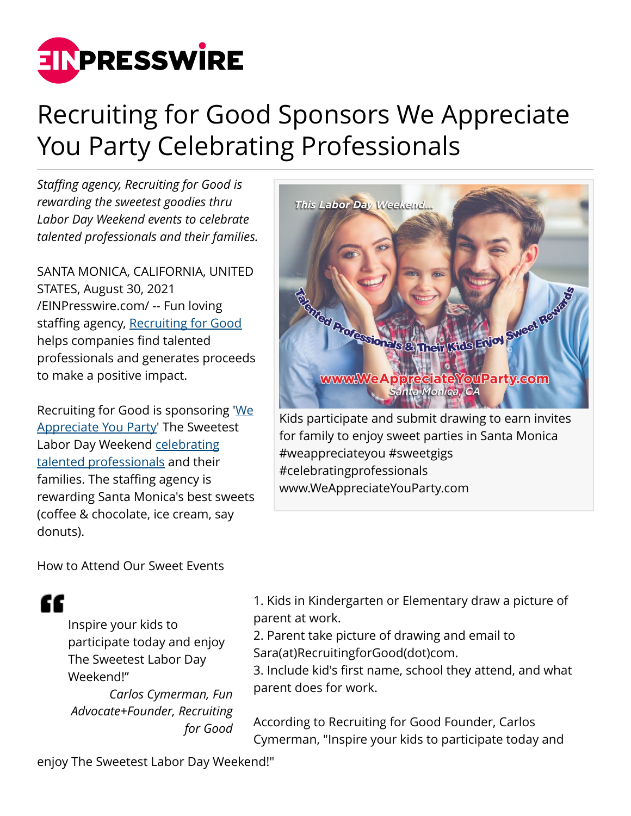

# Recruiting for Good Sponsors We Appreciate You Party Celebrating Professionals

*Staffing agency, Recruiting for Good is rewarding the sweetest goodies thru Labor Day Weekend events to celebrate talented professionals and their families.*

SANTA MONICA, CALIFORNIA, UNITED STATES, August 30, 2021 [/EINPresswire.com/](http://www.einpresswire.com) -- Fun loving staffing agency, [Recruiting for Good](https://recruitingforgood.com) helps companies find talented professionals and generates proceeds to make a positive impact.

Recruiting for Good is sponsoring '[We](https://recruitingforgood.com/we-appreciate-talented-professionals-party/) [Appreciate You Party](https://recruitingforgood.com/we-appreciate-talented-professionals-party/)' The Sweetest Labor Day Weekend [celebrating](https://recruitingforgood.com) [talented professionals](https://recruitingforgood.com) and their families. The staffing agency is rewarding Santa Monica's best sweets (coffee & chocolate, ice cream, say donuts).

How to Attend Our Sweet Events



#weappreciateyou #sweetgigs #celebratingprofessionals www.WeAppreciateYouParty.com

££

Inspire your kids to participate today and enjoy The Sweetest Labor Day Weekend!" *Carlos Cymerman, Fun*

*Advocate+Founder, Recruiting for Good* 1. Kids in Kindergarten or Elementary draw a picture of parent at work.

2. Parent take picture of drawing and email to Sara(at)RecruitingforGood(dot)com.

3. Include kid's first name, school they attend, and what parent does for work.

According to Recruiting for Good Founder, Carlos Cymerman, "Inspire your kids to participate today and

enjoy The Sweetest Labor Day Weekend!"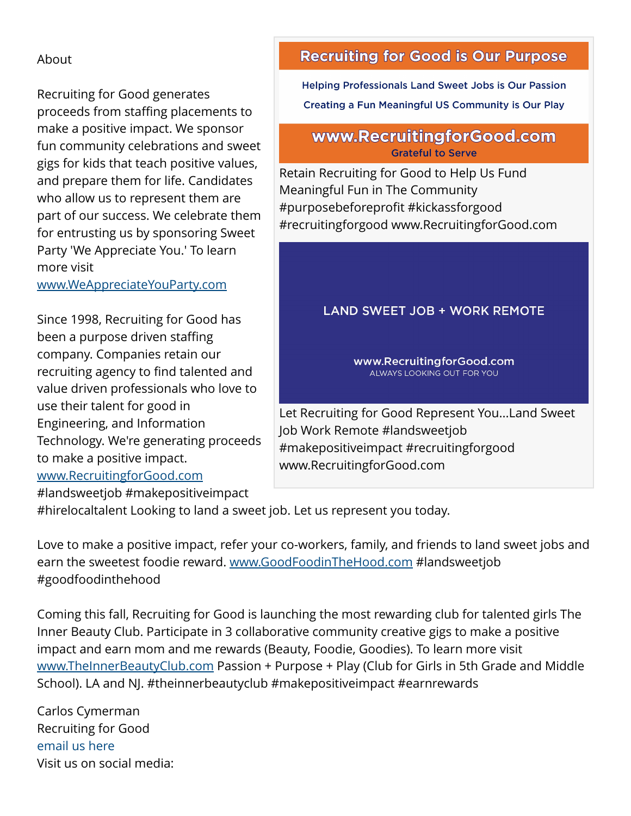#### About

Recruiting for Good generates proceeds from staffing placements to make a positive impact. We sponsor fun community celebrations and sweet gigs for kids that teach positive values, and prepare them for life. Candidates who allow us to represent them are part of our success. We celebrate them for entrusting us by sponsoring Sweet Party 'We Appreciate You.' To learn more visit

[www.WeAppreciateYouParty.com](http://www.WeAppreciateYouParty.com)

Since 1998, Recruiting for Good has been a purpose driven staffing company. Companies retain our recruiting agency to find talented and value driven professionals who love to use their talent for good in Engineering, and Information Technology. We're generating proceeds to make a positive impact. [www.RecruitingforGood.com](http://www.RecruitingforGood.com)

#landsweetjob #makepositiveimpact

## **Recruiting for Good is Our Purpose**

**Helping Professionals Land Sweet Jobs is Our Passion** Creating a Fun Meaningful US Community is Our Play

### www.RecruitingforGood.com **Grateful to Serve**

Retain Recruiting for Good to Help Us Fund Meaningful Fun in The Community #purposebeforeprofit #kickassforgood #recruitingforgood www.RecruitingforGood.com

## **LAND SWEET JOB + WORK REMOTE**

www.RecruitingforGood.com ALWAYS LOOKING OUT FOR YOU

Let Recruiting for Good Represent You...Land Sweet Job Work Remote #landsweetjob #makepositiveimpact #recruitingforgood www.RecruitingforGood.com

#hirelocaltalent Looking to land a sweet job. Let us represent you today.

Love to make a positive impact, refer your co-workers, family, and friends to land sweet jobs and earn the sweetest foodie reward. [www.GoodFoodinTheHood.com](http://www.GoodFoodinTheHood.com) #landsweetjob #goodfoodinthehood

Coming this fall, Recruiting for Good is launching the most rewarding club for talented girls The Inner Beauty Club. Participate in 3 collaborative community creative gigs to make a positive impact and earn mom and me rewards (Beauty, Foodie, Goodies). To learn more visit [www.TheInnerBeautyClub.com](http://www.TheInnerBeautyClub.com) Passion + Purpose + Play (Club for Girls in 5th Grade and Middle School). LA and NJ. #theinnerbeautyclub #makepositiveimpact #earnrewards

Carlos Cymerman Recruiting for Good [email us here](http://www.einpresswire.com/contact_author/3142562) Visit us on social media: